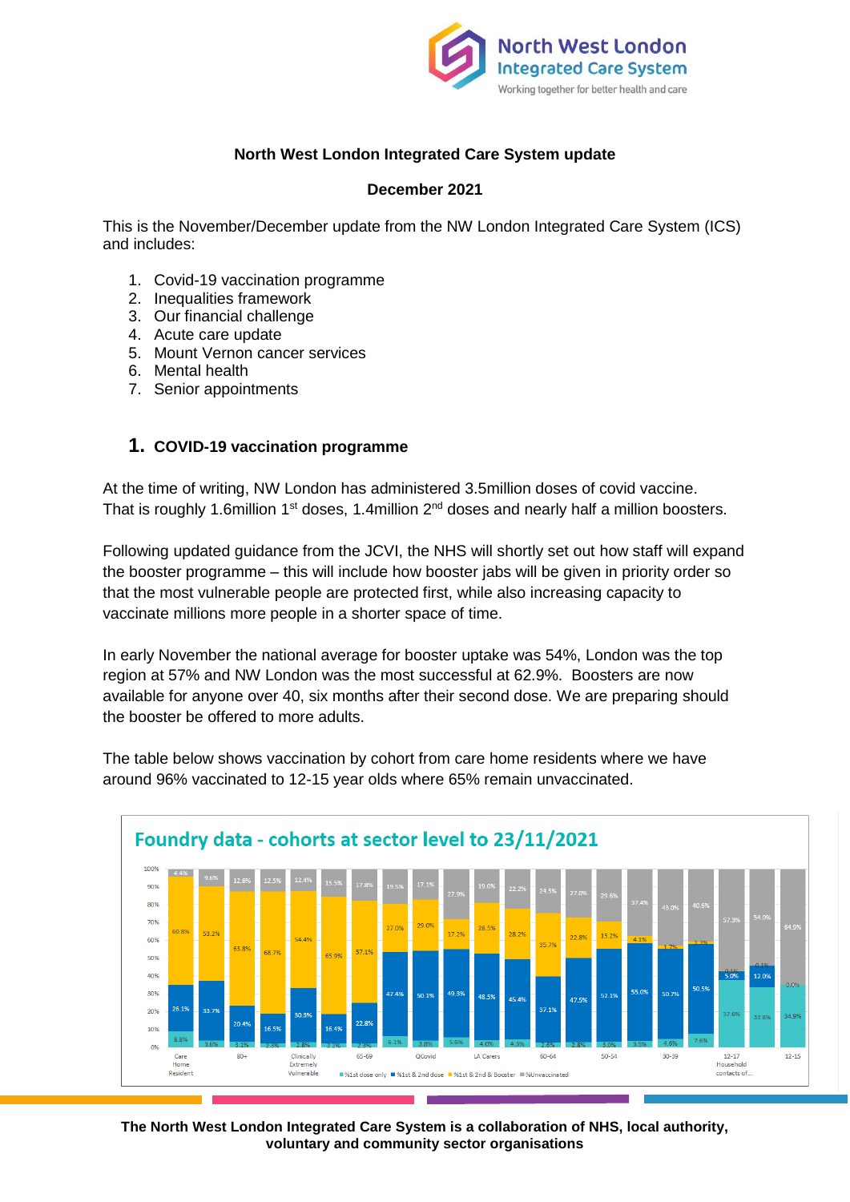

## **North West London Integrated Care System update**

### **December 2021**

This is the November/December update from the NW London Integrated Care System (ICS) and includes:

- 1. Covid-19 vaccination programme
- 2. Inequalities framework
- 3. Our financial challenge
- 4. Acute care update
- 5. Mount Vernon cancer services
- 6. Mental health
- 7. Senior appointments

### **1. COVID-19 vaccination programme**

At the time of writing, NW London has administered 3.5million doses of covid vaccine. That is roughly 1.6million 1<sup>st</sup> doses, 1.4million 2<sup>nd</sup> doses and nearly half a million boosters.

Following updated guidance from the JCVI, the NHS will shortly set out how staff will expand the booster programme – this will include how booster jabs will be given in priority order so that the most vulnerable people are protected first, while also increasing capacity to vaccinate millions more people in a shorter space of time.

In early November the national average for booster uptake was 54%, London was the top region at 57% and NW London was the most successful at 62.9%. Boosters are now available for anyone over 40, six months after their second dose. We are preparing should the booster be offered to more adults.



The table below shows vaccination by cohort from care home residents where we have around 96% vaccinated to 12-15 year olds where 65% remain unvaccinated.

**The North West London Integrated Care System is a collaboration of NHS, local authority, voluntary and community sector organisations**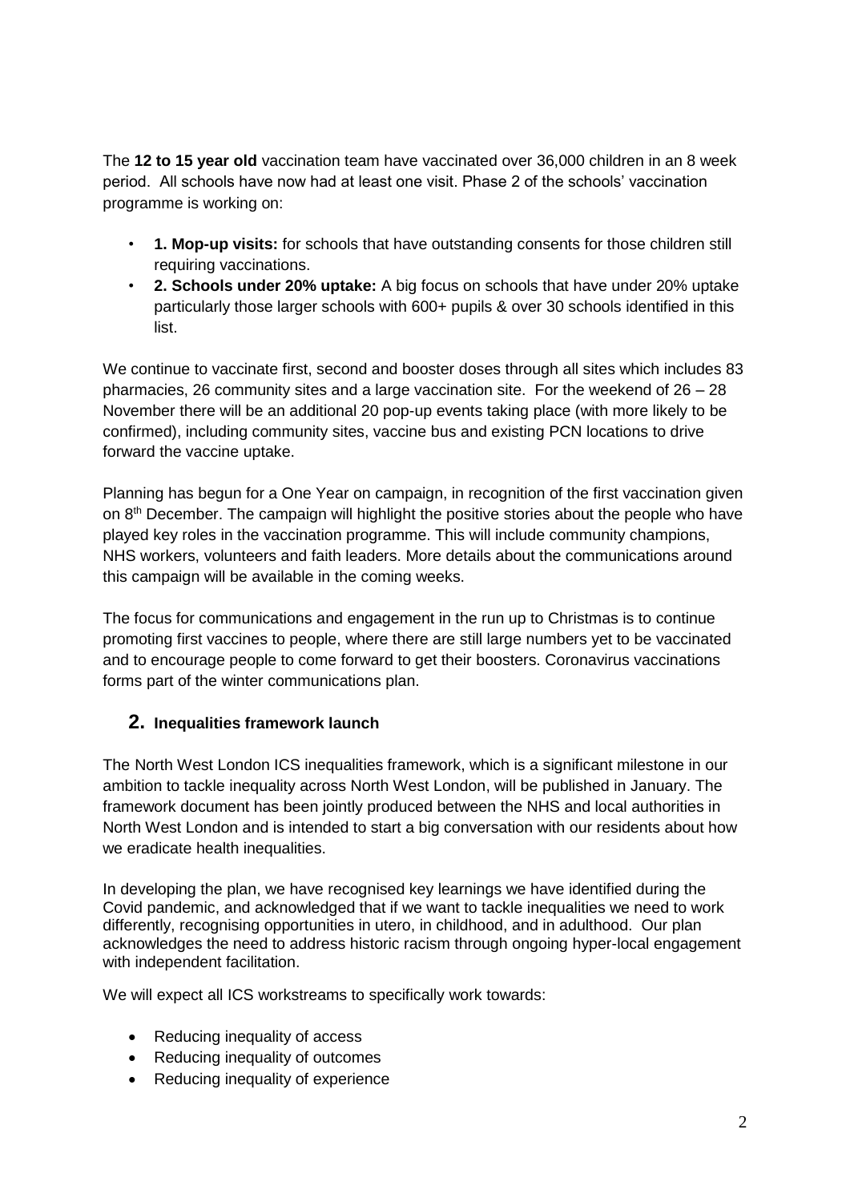The **12 to 15 year old** vaccination team have vaccinated over 36,000 children in an 8 week period. All schools have now had at least one visit. Phase 2 of the schools' vaccination programme is working on:

- **1. Mop-up visits:** for schools that have outstanding consents for those children still requiring vaccinations.
- **2. Schools under 20% uptake:** A big focus on schools that have under 20% uptake particularly those larger schools with 600+ pupils & over 30 schools identified in this list.

We continue to vaccinate first, second and booster doses through all sites which includes 83 pharmacies, 26 community sites and a large vaccination site. For the weekend of 26 – 28 November there will be an additional 20 pop-up events taking place (with more likely to be confirmed), including community sites, vaccine bus and existing PCN locations to drive forward the vaccine uptake.

Planning has begun for a One Year on campaign, in recognition of the first vaccination given on 8<sup>th</sup> December. The campaign will highlight the positive stories about the people who have played key roles in the vaccination programme. This will include community champions, NHS workers, volunteers and faith leaders. More details about the communications around this campaign will be available in the coming weeks.

The focus for communications and engagement in the run up to Christmas is to continue promoting first vaccines to people, where there are still large numbers yet to be vaccinated and to encourage people to come forward to get their boosters. Coronavirus vaccinations forms part of the winter communications plan.

# **2. Inequalities framework launch**

The North West London ICS inequalities framework, which is a significant milestone in our ambition to tackle inequality across North West London, will be published in January. The framework document has been jointly produced between the NHS and local authorities in North West London and is intended to start a big conversation with our residents about how we eradicate health inequalities.

In developing the plan, we have recognised key learnings we have identified during the Covid pandemic, and acknowledged that if we want to tackle inequalities we need to work differently, recognising opportunities in utero, in childhood, and in adulthood. Our plan acknowledges the need to address historic racism through ongoing hyper-local engagement with independent facilitation.

We will expect all ICS workstreams to specifically work towards:

- Reducing inequality of access
- Reducing inequality of outcomes
- Reducing inequality of experience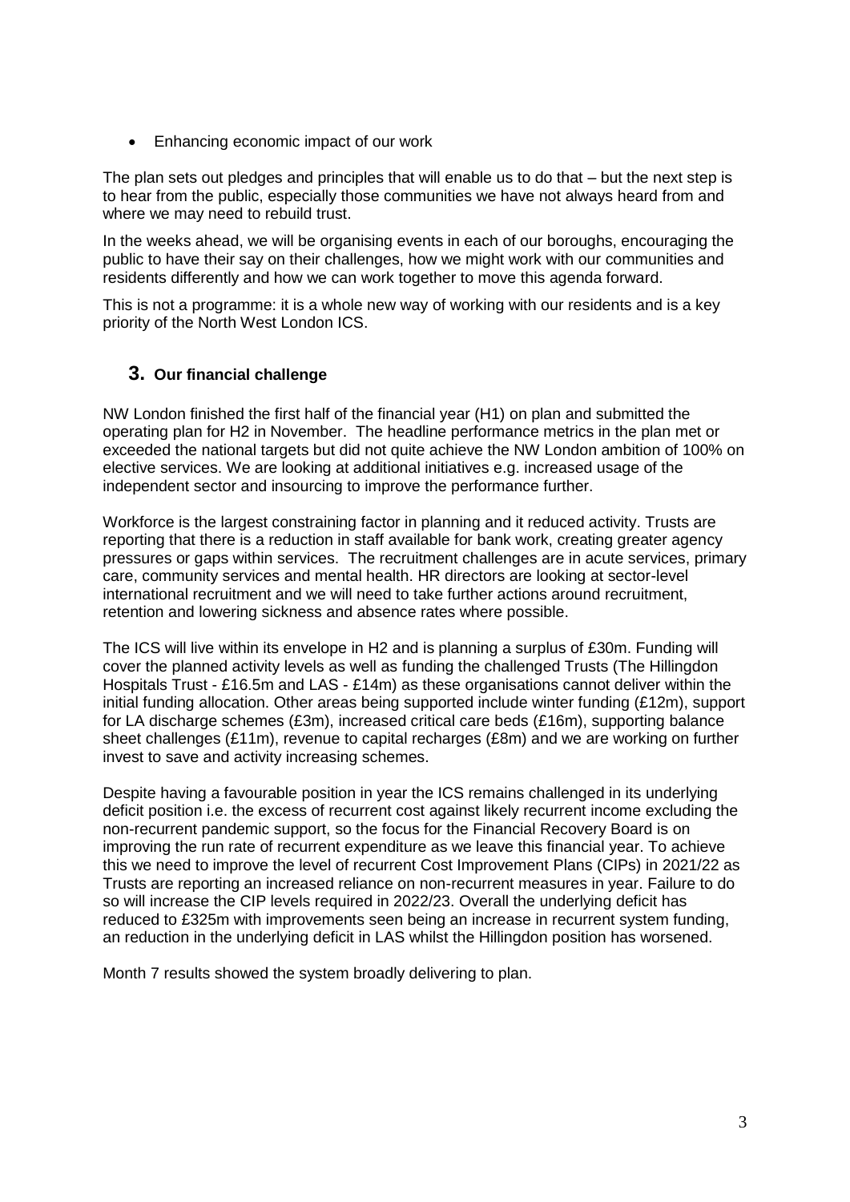• Enhancing economic impact of our work

The plan sets out pledges and principles that will enable us to do that – but the next step is to hear from the public, especially those communities we have not always heard from and where we may need to rebuild trust.

In the weeks ahead, we will be organising events in each of our boroughs, encouraging the public to have their say on their challenges, how we might work with our communities and residents differently and how we can work together to move this agenda forward.

This is not a programme: it is a whole new way of working with our residents and is a key priority of the North West London ICS.

## **3. Our financial challenge**

NW London finished the first half of the financial year (H1) on plan and submitted the operating plan for H2 in November. The headline performance metrics in the plan met or exceeded the national targets but did not quite achieve the NW London ambition of 100% on elective services. We are looking at additional initiatives e.g. increased usage of the independent sector and insourcing to improve the performance further.

Workforce is the largest constraining factor in planning and it reduced activity. Trusts are reporting that there is a reduction in staff available for bank work, creating greater agency pressures or gaps within services. The recruitment challenges are in acute services, primary care, community services and mental health. HR directors are looking at sector-level international recruitment and we will need to take further actions around recruitment, retention and lowering sickness and absence rates where possible.

The ICS will live within its envelope in H2 and is planning a surplus of £30m. Funding will cover the planned activity levels as well as funding the challenged Trusts (The Hillingdon Hospitals Trust - £16.5m and LAS - £14m) as these organisations cannot deliver within the initial funding allocation. Other areas being supported include winter funding (£12m), support for LA discharge schemes (£3m), increased critical care beds (£16m), supporting balance sheet challenges (£11m), revenue to capital recharges (£8m) and we are working on further invest to save and activity increasing schemes.

Despite having a favourable position in year the ICS remains challenged in its underlying deficit position i.e. the excess of recurrent cost against likely recurrent income excluding the non-recurrent pandemic support, so the focus for the Financial Recovery Board is on improving the run rate of recurrent expenditure as we leave this financial year. To achieve this we need to improve the level of recurrent Cost Improvement Plans (CIPs) in 2021/22 as Trusts are reporting an increased reliance on non-recurrent measures in year. Failure to do so will increase the CIP levels required in 2022/23. Overall the underlying deficit has reduced to £325m with improvements seen being an increase in recurrent system funding, an reduction in the underlying deficit in LAS whilst the Hillingdon position has worsened.

Month 7 results showed the system broadly delivering to plan.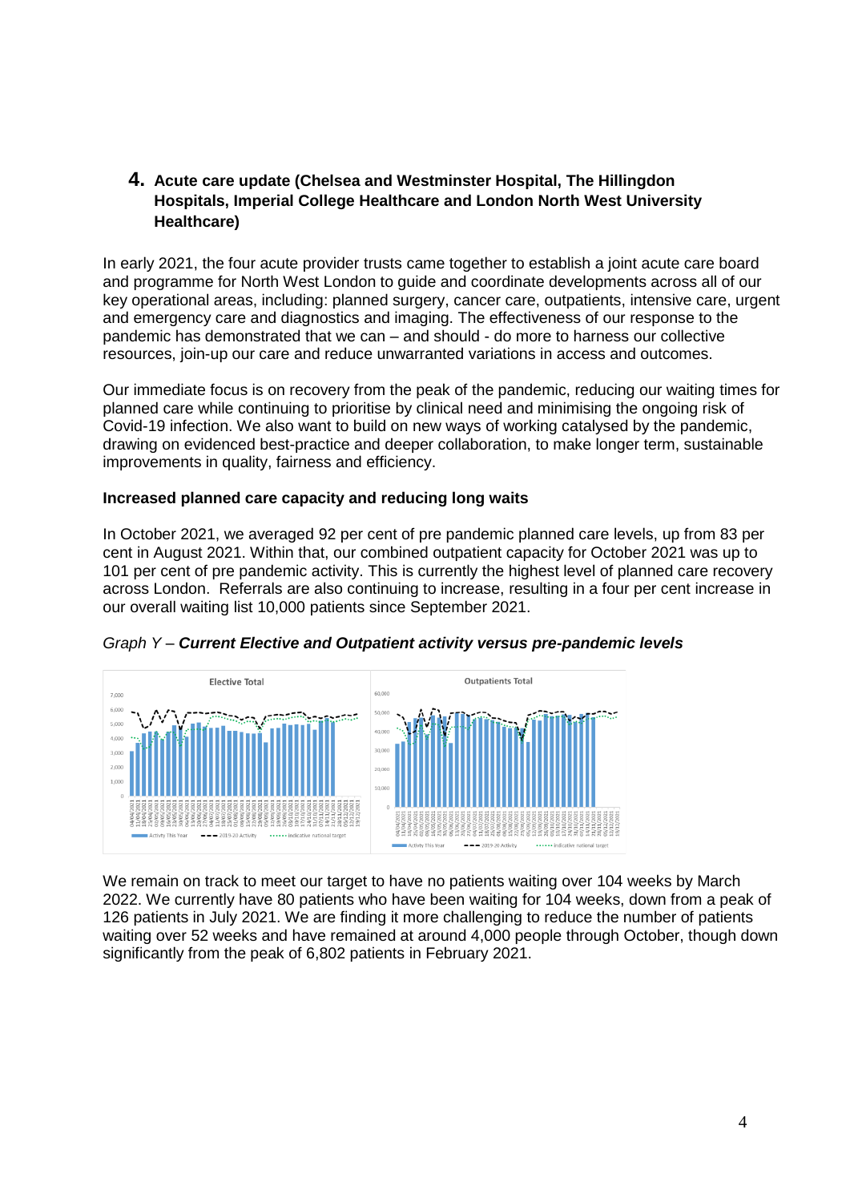## **4. Acute care update (Chelsea and Westminster Hospital, The Hillingdon Hospitals, Imperial College Healthcare and London North West University Healthcare)**

In early 2021, the four acute provider trusts came together to establish a joint acute care board and programme for North West London to guide and coordinate developments across all of our key operational areas, including: planned surgery, cancer care, outpatients, intensive care, urgent and emergency care and diagnostics and imaging. The effectiveness of our response to the pandemic has demonstrated that we can – and should - do more to harness our collective resources, join-up our care and reduce unwarranted variations in access and outcomes.

Our immediate focus is on recovery from the peak of the pandemic, reducing our waiting times for planned care while continuing to prioritise by clinical need and minimising the ongoing risk of Covid-19 infection. We also want to build on new ways of working catalysed by the pandemic, drawing on evidenced best-practice and deeper collaboration, to make longer term, sustainable improvements in quality, fairness and efficiency.

### **Increased planned care capacity and reducing long waits**

In October 2021, we averaged 92 per cent of pre pandemic planned care levels, up from 83 per cent in August 2021. Within that, our combined outpatient capacity for October 2021 was up to 101 per cent of pre pandemic activity. This is currently the highest level of planned care recovery across London. Referrals are also continuing to increase, resulting in a four per cent increase in our overall waiting list 10,000 patients since September 2021.



*Graph Y – Current Elective and Outpatient activity versus pre-pandemic levels*

We remain on track to meet our target to have no patients waiting over 104 weeks by March 2022. We currently have 80 patients who have been waiting for 104 weeks, down from a peak of 126 patients in July 2021. We are finding it more challenging to reduce the number of patients waiting over 52 weeks and have remained at around 4,000 people through October, though down significantly from the peak of 6,802 patients in February 2021.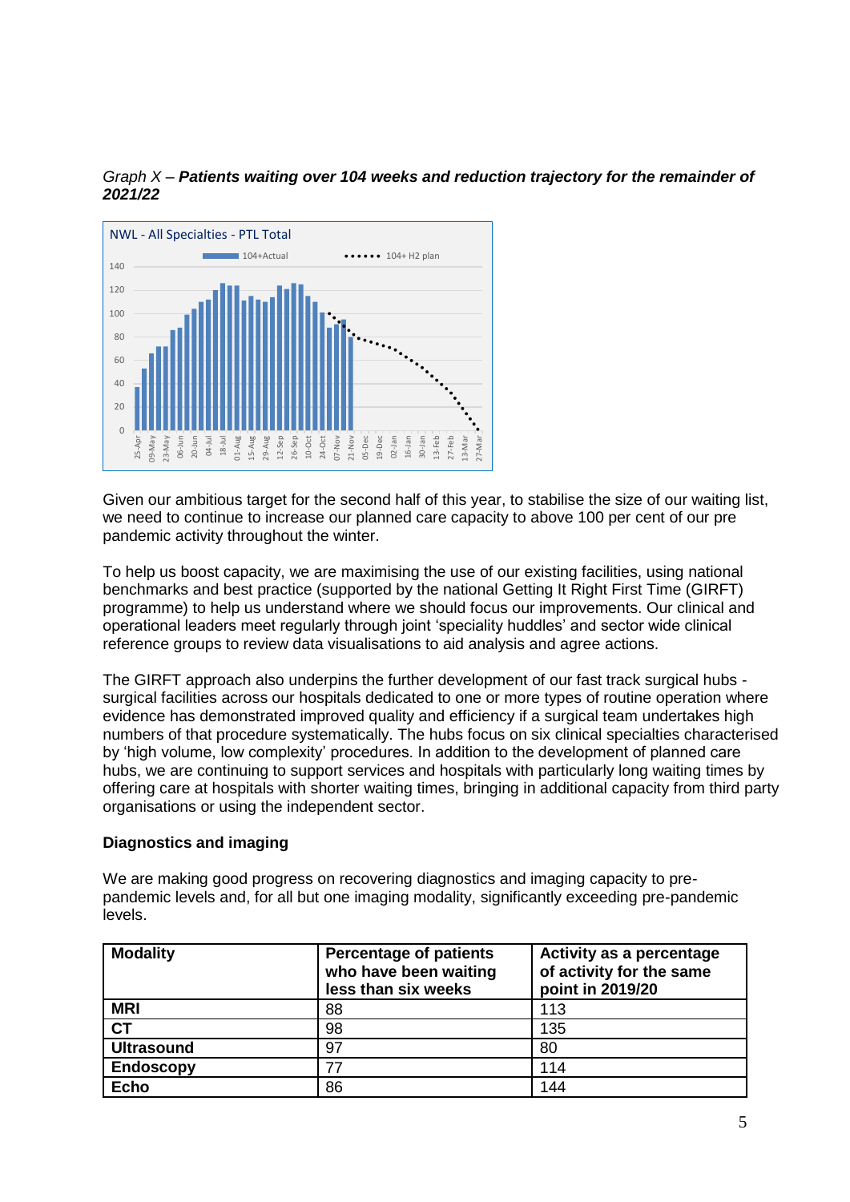



Given our ambitious target for the second half of this year, to stabilise the size of our waiting list, we need to continue to increase our planned care capacity to above 100 per cent of our pre pandemic activity throughout the winter.

To help us boost capacity, we are maximising the use of our existing facilities, using national benchmarks and best practice (supported by the national Getting It Right First Time (GIRFT) programme) to help us understand where we should focus our improvements. Our clinical and operational leaders meet regularly through joint 'speciality huddles' and sector wide clinical reference groups to review data visualisations to aid analysis and agree actions.

The GIRFT approach also underpins the further development of our fast track surgical hubs surgical facilities across our hospitals dedicated to one or more types of routine operation where evidence has demonstrated improved quality and efficiency if a surgical team undertakes high numbers of that procedure systematically. The hubs focus on six clinical specialties characterised by 'high volume, low complexity' procedures. In addition to the development of planned care hubs, we are continuing to support services and hospitals with particularly long waiting times by offering care at hospitals with shorter waiting times, bringing in additional capacity from third party organisations or using the independent sector.

### **Diagnostics and imaging**

We are making good progress on recovering diagnostics and imaging capacity to prepandemic levels and, for all but one imaging modality, significantly exceeding pre-pandemic levels.

| <b>Modality</b>        | <b>Percentage of patients</b><br>who have been waiting<br>less than six weeks | Activity as a percentage<br>of activity for the same<br>point in 2019/20 |
|------------------------|-------------------------------------------------------------------------------|--------------------------------------------------------------------------|
| <b>MRI</b>             | 88                                                                            | 113                                                                      |
| $\overline{\text{CT}}$ | 98                                                                            | 135                                                                      |
| <b>Ultrasound</b>      | 97                                                                            | 80                                                                       |
| <b>Endoscopy</b>       | 77                                                                            | 114                                                                      |
| <b>Echo</b>            | 86                                                                            | 144                                                                      |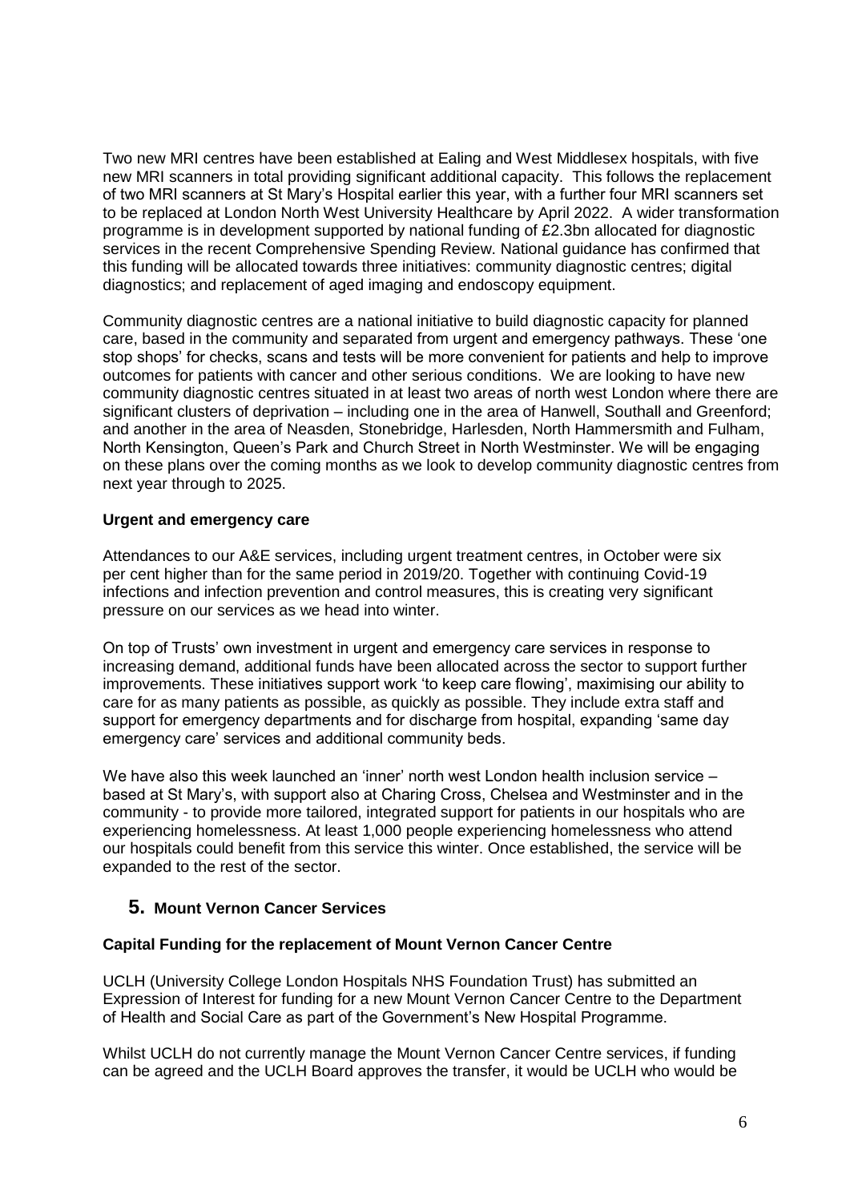Two new MRI centres have been established at Ealing and West Middlesex hospitals, with five new MRI scanners in total providing significant additional capacity. This follows the replacement of two MRI scanners at St Mary's Hospital earlier this year, with a further four MRI scanners set to be replaced at London North West University Healthcare by April 2022. A wider transformation programme is in development supported by national funding of £2.3bn allocated for diagnostic services in the recent Comprehensive Spending Review. National guidance has confirmed that this funding will be allocated towards three initiatives: community diagnostic centres; digital diagnostics; and replacement of aged imaging and endoscopy equipment.

Community diagnostic centres are a national initiative to build diagnostic capacity for planned care, based in the community and separated from urgent and emergency pathways. These 'one stop shops' for checks, scans and tests will be more convenient for patients and help to improve outcomes for patients with cancer and other serious conditions. We are looking to have new community diagnostic centres situated in at least two areas of north west London where there are significant clusters of deprivation – including one in the area of Hanwell, Southall and Greenford; and another in the area of Neasden, Stonebridge, Harlesden, North Hammersmith and Fulham, North Kensington, Queen's Park and Church Street in North Westminster. We will be engaging on these plans over the coming months as we look to develop community diagnostic centres from next year through to 2025.

## **Urgent and emergency care**

Attendances to our A&E services, including urgent treatment centres, in October were six per cent higher than for the same period in 2019/20. Together with continuing Covid-19 infections and infection prevention and control measures, this is creating very significant pressure on our services as we head into winter.

On top of Trusts' own investment in urgent and emergency care services in response to increasing demand, additional funds have been allocated across the sector to support further improvements. These initiatives support work 'to keep care flowing', maximising our ability to care for as many patients as possible, as quickly as possible. They include extra staff and support for emergency departments and for discharge from hospital, expanding 'same day emergency care' services and additional community beds.

We have also this week launched an 'inner' north west London health inclusion service – based at St Mary's, with support also at Charing Cross, Chelsea and Westminster and in the community - to provide more tailored, integrated support for patients in our hospitals who are experiencing homelessness. At least 1,000 people experiencing homelessness who attend our hospitals could benefit from this service this winter. Once established, the service will be expanded to the rest of the sector.

## **5. Mount Vernon Cancer Services**

### **Capital Funding for the replacement of Mount Vernon Cancer Centre**

UCLH (University College London Hospitals NHS Foundation Trust) has submitted an Expression of Interest for funding for a new Mount Vernon Cancer Centre to the Department of Health and Social Care as part of the Government's New Hospital Programme.

Whilst UCLH do not currently manage the Mount Vernon Cancer Centre services, if funding can be agreed and the UCLH Board approves the transfer, it would be UCLH who would be